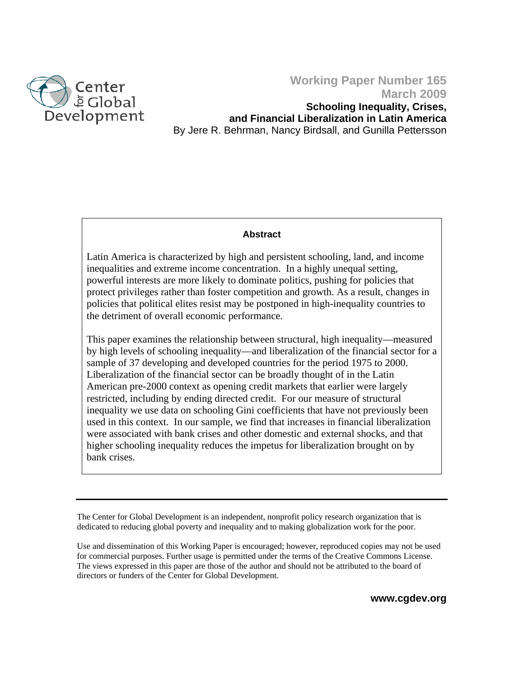

# **Working Paper Number 165 March 2009**

**Schooling Inequality, Crises, and Financial Liberalization in Latin America**  By Jere R. Behrman, Nancy Birdsall, and Gunilla Pettersson

#### **Abstract**

Latin America is characterized by high and persistent schooling, land, and income inequalities and extreme income concentration. In a highly unequal setting, powerful interests are more likely to dominate politics, pushing for policies that protect privileges rather than foster competition and growth. As a result, changes in policies that political elites resist may be postponed in high-inequality countries to the detriment of overall economic performance.

This paper examines the relationship between structural, high inequality—measured by high levels of schooling inequality—and liberalization of the financial sector for a sample of 37 developing and developed countries for the period 1975 to 2000. Liberalization of the financial sector can be broadly thought of in the Latin American pre-2000 context as opening credit markets that earlier were largely restricted, including by ending directed credit. For our measure of structural inequality we use data on schooling Gini coefficients that have not previously been used in this context. In our sample, we find that increases in financial liberalization were associated with bank crises and other domestic and external shocks, and that higher schooling inequality reduces the impetus for liberalization brought on by bank crises.

The Center for Global Development is an independent, nonprofit policy research organization that is dedicated to reducing global poverty and inequality and to making globalization work for the poor.

Use and dissemination of this Working Paper is encouraged; however, reproduced copies may not be used for commercial purposes. Further usage is permitted under the terms of the Creative Commons License. The views expressed in this paper are those of the author and should not be attributed to the board of directors or funders of the Center for Global Development.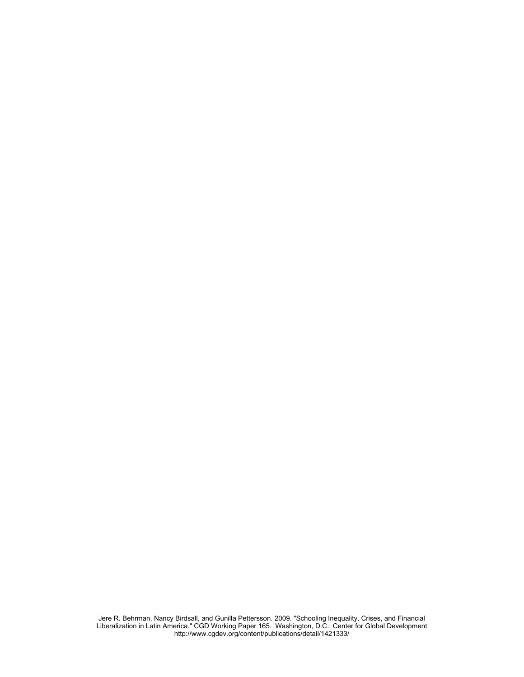Jere R. Behrman, Nancy Birdsall, and Gunilla Pettersson. 2009. "Schooling Inequality, Crises, and Financial Liberalization in Latin America." CGD Working Paper 165. Washington, D.C.: Center for Global Development [http://www.cgdev.org/content/publications/detail/1421333/](http://www.cgdev.org/content/publications/detail/1421333)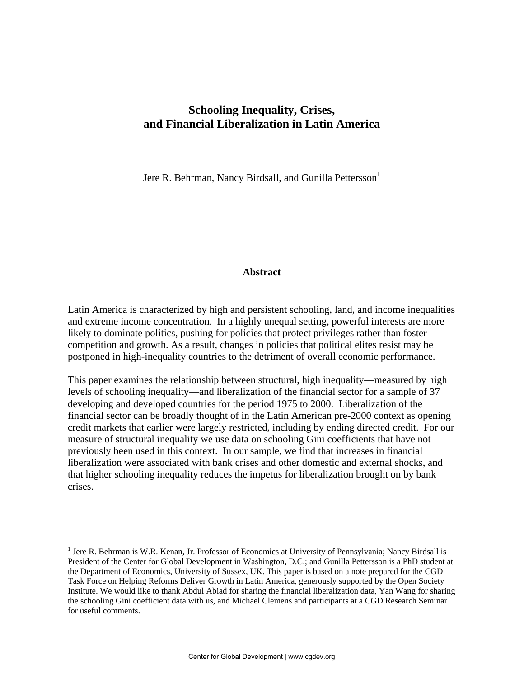# **Schooling Inequality, Crises, and Financial Liberalization in Latin America**

Jere R. Behrman, Nancy Birdsall, and Gunilla Pettersson $<sup>1</sup>$ </sup>

#### **Abstract**

Latin America is characterized by high and persistent schooling, land, and income inequalities and extreme income concentration. In a highly unequal setting, powerful interests are more likely to dominate politics, pushing for policies that protect privileges rather than foster competition and growth. As a result, changes in policies that political elites resist may be postponed in high-inequality countries to the detriment of overall economic performance.

This paper examines the relationship between structural, high inequality—measured by high levels of schooling inequality—and liberalization of the financial sector for a sample of 37 developing and developed countries for the period 1975 to 2000. Liberalization of the financial sector can be broadly thought of in the Latin American pre-2000 context as opening credit markets that earlier were largely restricted, including by ending directed credit. For our measure of structural inequality we use data on schooling Gini coefficients that have not previously been used in this context. In our sample, we find that increases in financial liberalization were associated with bank crises and other domestic and external shocks, and that higher schooling inequality reduces the impetus for liberalization brought on by bank crises.

<sup>&</sup>lt;sup>1</sup> Jere R. Behrman is W.R. Kenan, Jr. Professor of Economics at University of Pennsylvania; Nancy Birdsall is President of the Center for Global Development in Washington, D.C.; and Gunilla Pettersson is a PhD student at the Department of Economics, University of Sussex, UK. This paper is based on a note prepared for the CGD Task Force on Helping Reforms Deliver Growth in Latin America, generously supported by the Open Society Institute. We would like to thank Abdul Abiad for sharing the financial liberalization data, Yan Wang for sharing the schooling Gini coefficient data with us, and Michael Clemens and participants at a CGD Research Seminar for useful comments.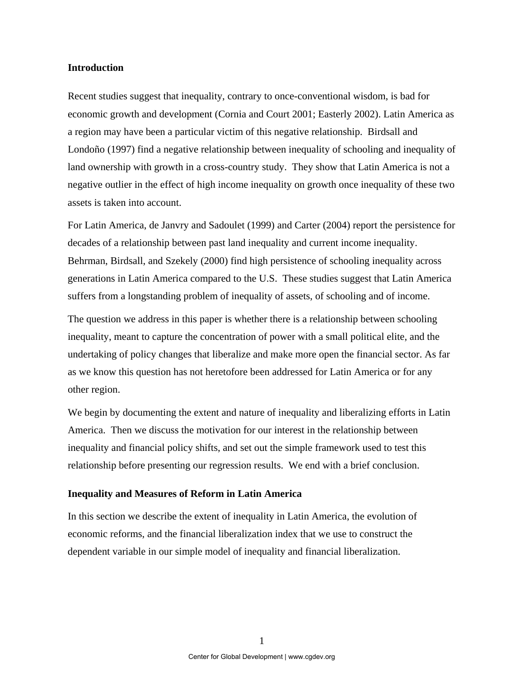#### **Introduction**

Recent studies suggest that inequality, contrary to once-conventional wisdom, is bad for economic growth and development (Cornia and Court 2001; Easterly 2002). Latin America as a region may have been a particular victim of this negative relationship. Birdsall and Londoño (1997) find a negative relationship between inequality of schooling and inequality of land ownership with growth in a cross-country study. They show that Latin America is not a negative outlier in the effect of high income inequality on growth once inequality of these two assets is taken into account.

For Latin America, de Janvry and Sadoulet (1999) and Carter (2004) report the persistence for decades of a relationship between past land inequality and current income inequality. Behrman, Birdsall, and Szekely (2000) find high persistence of schooling inequality across generations in Latin America compared to the U.S. These studies suggest that Latin America suffers from a longstanding problem of inequality of assets, of schooling and of income.

The question we address in this paper is whether there is a relationship between schooling inequality, meant to capture the concentration of power with a small political elite, and the undertaking of policy changes that liberalize and make more open the financial sector. As far as we know this question has not heretofore been addressed for Latin America or for any other region.

We begin by documenting the extent and nature of inequality and liberalizing efforts in Latin America. Then we discuss the motivation for our interest in the relationship between inequality and financial policy shifts, and set out the simple framework used to test this relationship before presenting our regression results. We end with a brief conclusion.

#### **Inequality and Measures of Reform in Latin America**

In this section we describe the extent of inequality in Latin America, the evolution of economic reforms, and the financial liberalization index that we use to construct the dependent variable in our simple model of inequality and financial liberalization.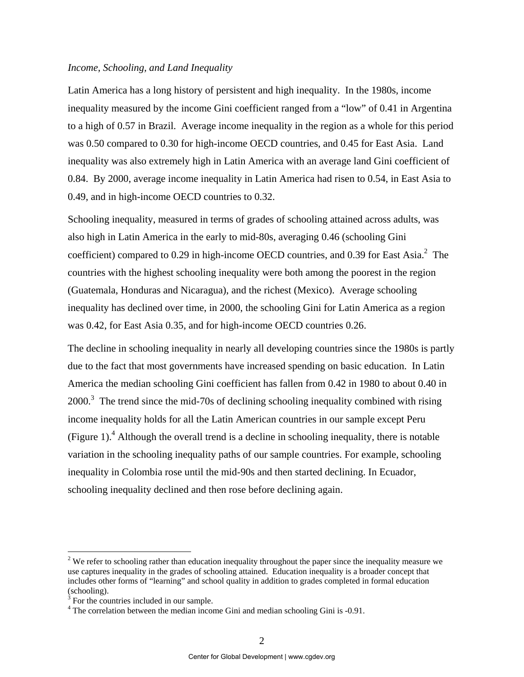#### *Income, Schooling, and Land Inequality*

Latin America has a long history of persistent and high inequality. In the 1980s, income inequality measured by the income Gini coefficient ranged from a "low" of 0.41 in Argentina to a high of 0.57 in Brazil. Average income inequality in the region as a whole for this period was 0.50 compared to 0.30 for high-income OECD countries, and 0.45 for East Asia. Land inequality was also extremely high in Latin America with an average land Gini coefficient of 0.84. By 2000, average income inequality in Latin America had risen to 0.54, in East Asia to 0.49, and in high-income OECD countries to 0.32.

Schooling inequality, measured in terms of grades of schooling attained across adults, was also high in Latin America in the early to mid-80s, averaging 0.46 (schooling Gini coefficient) compared to 0.29 in high-income OECD countries, and 0.39 for East Asia. $^2$  The countries with the highest schooling inequality were both among the poorest in the region (Guatemala, Honduras and Nicaragua), and the richest (Mexico). Average schooling inequality has declined over time, in 2000, the schooling Gini for Latin America as a region was 0.42, for East Asia 0.35, and for high-income OECD countries 0.26.

The decline in schooling inequality in nearly all developing countries since the 1980s is partly due to the fact that most governments have increased spending on basic education. In Latin America the median schooling Gini coefficient has fallen from 0.42 in 1980 to about 0.40 in 2000.<sup>3</sup> The trend since the mid-70s of declining schooling inequality combined with rising income inequality holds for all the Latin American countries in our sample except Peru (Figure 1).<sup>4</sup> Although the overall trend is a decline in schooling inequality, there is notable variation in the schooling inequality paths of our sample countries. For example, schooling inequality in Colombia rose until the mid-90s and then started declining. In Ecuador, schooling inequality declined and then rose before declining again.

<sup>&</sup>lt;sup>2</sup> We refer to schooling rather than education inequality throughout the paper since the inequality measure we use captures inequality in the grades of schooling attained. Education inequality is a broader concept that includes other forms of "learning" and school quality in addition to grades completed in formal education (schooling).

 $3<sup>3</sup>$  For the countries included in our sample.

<sup>&</sup>lt;sup>4</sup> The correlation between the median income Gini and median schooling Gini is -0.91.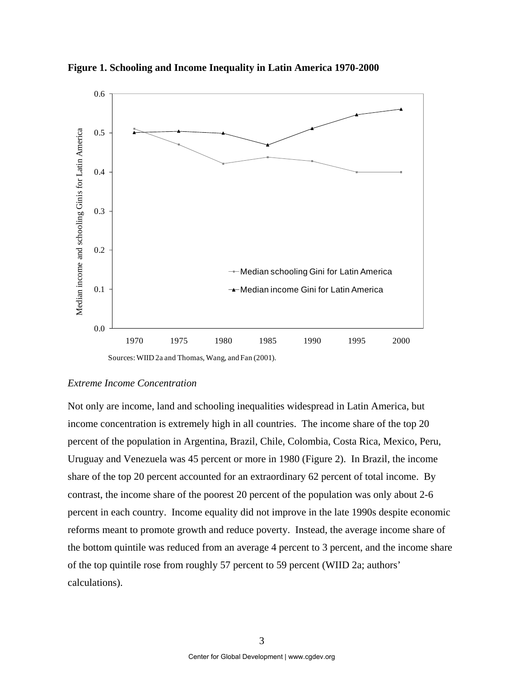

**Figure 1. Schooling and Income Inequality in Latin America 1970-2000** 

#### *Extreme Income Concentration*

Not only are income, land and schooling inequalities widespread in Latin America, but income concentration is extremely high in all countries. The income share of the top 20 percent of the population in Argentina, Brazil, Chile, Colombia, Costa Rica, Mexico, Peru, Uruguay and Venezuela was 45 percent or more in 1980 (Figure 2). In Brazil, the income share of the top 20 percent accounted for an extraordinary 62 percent of total income. By contrast, the income share of the poorest 20 percent of the population was only about 2-6 percent in each country. Income equality did not improve in the late 1990s despite economic reforms meant to promote growth and reduce poverty. Instead, the average income share of the bottom quintile was reduced from an average 4 percent to 3 percent, and the income share of the top quintile rose from roughly 57 percent to 59 percent (WIID 2a; authors' calculations).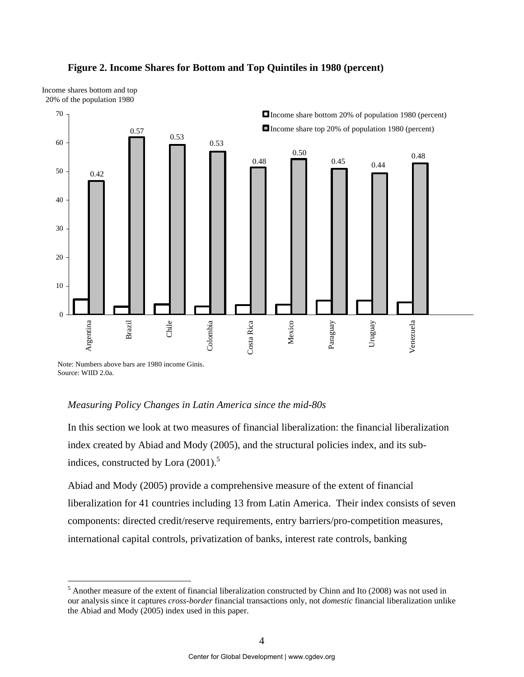#### **Figure 2. Income Shares for Bottom and Top Quintiles in 1980 (percent)**

Income shares bottom and top 20% of the population 1980



Source: WIID 2.0a.

 $\overline{a}$ 

#### *Measuring Policy Changes in Latin America since the mid-80s*

In this section we look at two measures of financial liberalization: the financial liberalization index created by Abiad and Mody (2005), and the structural policies index, and its subindices, constructed by Lora  $(2001)$ .<sup>5</sup>

Abiad and Mody (2005) provide a comprehensive measure of the extent of financial liberalization for 41 countries including 13 from Latin America. Their index consists of seven components: directed credit/reserve requirements, entry barriers/pro-competition measures, international capital controls, privatization of banks, interest rate controls, banking

<sup>&</sup>lt;sup>5</sup> Another measure of the extent of financial liberalization constructed by Chinn and Ito (2008) was not used in our analysis since it captures *cross-border* financial transactions only, not *domestic* financial liberalization unlike the Abiad and Mody (2005) index used in this paper.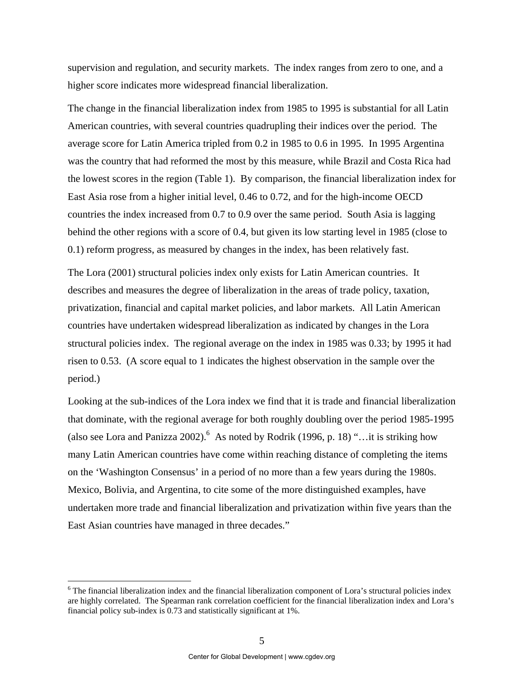supervision and regulation, and security markets. The index ranges from zero to one, and a higher score indicates more widespread financial liberalization.

The change in the financial liberalization index from 1985 to 1995 is substantial for all Latin American countries, with several countries quadrupling their indices over the period. The average score for Latin America tripled from 0.2 in 1985 to 0.6 in 1995. In 1995 Argentina was the country that had reformed the most by this measure, while Brazil and Costa Rica had the lowest scores in the region (Table 1). By comparison, the financial liberalization index for East Asia rose from a higher initial level, 0.46 to 0.72, and for the high-income OECD countries the index increased from 0.7 to 0.9 over the same period. South Asia is lagging behind the other regions with a score of 0.4, but given its low starting level in 1985 (close to 0.1) reform progress, as measured by changes in the index, has been relatively fast.

The Lora (2001) structural policies index only exists for Latin American countries. It describes and measures the degree of liberalization in the areas of trade policy, taxation, privatization, financial and capital market policies, and labor markets. All Latin American countries have undertaken widespread liberalization as indicated by changes in the Lora structural policies index. The regional average on the index in 1985 was 0.33; by 1995 it had risen to 0.53. (A score equal to 1 indicates the highest observation in the sample over the period.)

Looking at the sub-indices of the Lora index we find that it is trade and financial liberalization that dominate, with the regional average for both roughly doubling over the period 1985-1995 (also see Lora and Panizza 2002). <sup>6</sup> As noted by Rodrik (1996, p. 18) "... it is striking how many Latin American countries have come within reaching distance of completing the items on the 'Washington Consensus' in a period of no more than a few years during the 1980s. Mexico, Bolivia, and Argentina, to cite some of the more distinguished examples, have undertaken more trade and financial liberalization and privatization within five years than the East Asian countries have managed in three decades."

<sup>&</sup>lt;sup>6</sup> The financial liberalization index and the financial liberalization component of Lora's structural policies index are highly correlated. The Spearman rank correlation coefficient for the financial liberalization index and Lora's financial policy sub-index is 0.73 and statistically significant at 1%.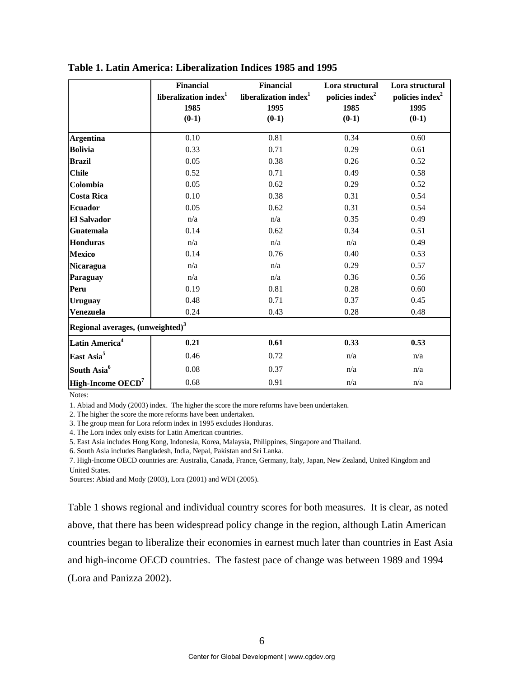|                                              | Financial                         | Financial                         | Lora structural             | Lora structural             |
|----------------------------------------------|-----------------------------------|-----------------------------------|-----------------------------|-----------------------------|
|                                              | liberalization index <sup>1</sup> | liberalization index <sup>1</sup> | policies index <sup>2</sup> | policies index <sup>2</sup> |
|                                              | 1985                              | 1995                              | 1985                        | 1995                        |
|                                              | $(0-1)$                           | $(0-1)$                           | $(0-1)$                     | $(0-1)$                     |
| <b>Argentina</b>                             | 0.10                              | 0.81                              | 0.34                        | 0.60                        |
| <b>Bolivia</b>                               | 0.33                              | 0.71                              | 0.29                        | 0.61                        |
| <b>Brazil</b>                                | 0.05                              | 0.38                              | 0.26                        | 0.52                        |
| <b>Chile</b>                                 | 0.52                              | 0.71                              | 0.49                        | 0.58                        |
| Colombia                                     | 0.05                              | 0.62                              | 0.29                        | 0.52                        |
| <b>Costa Rica</b>                            | 0.10                              | 0.38                              | 0.31                        | 0.54                        |
| <b>Ecuador</b>                               | 0.05                              | 0.62                              | 0.31                        | 0.54                        |
| <b>El Salvador</b>                           | n/a                               | n/a                               | 0.35                        | 0.49                        |
| Guatemala                                    | 0.14                              | 0.62                              | 0.34                        | 0.51                        |
| <b>Honduras</b>                              | n/a                               | n/a                               | n/a                         | 0.49                        |
| <b>Mexico</b>                                | 0.14                              | 0.76                              | 0.40                        | 0.53                        |
| <b>Nicaragua</b>                             | n/a                               | n/a                               | 0.29                        | 0.57                        |
| Paraguay                                     | n/a                               | n/a                               | 0.36                        | 0.56                        |
| Peru                                         | 0.19                              | 0.81                              | 0.28                        | 0.60                        |
| <b>Uruguay</b>                               | 0.48                              | 0.71                              | 0.37                        | 0.45                        |
| <b>Venezuela</b>                             | 0.24                              | 0.43                              | 0.28                        | 0.48                        |
| Regional averages, (unweighted) <sup>3</sup> |                                   |                                   |                             |                             |
| Latin America <sup>4</sup>                   | 0.21                              | 0.61                              | 0.33                        | 0.53                        |
| East Asia <sup>5</sup>                       | 0.46                              | 0.72                              | n/a                         | n/a                         |
| South Asia <sup>6</sup>                      | 0.08                              | 0.37                              | n/a                         | n/a                         |
| High-Income OECD <sup>7</sup>                | 0.68                              | 0.91                              | n/a                         | n/a                         |

**Table 1. Latin America: Liberalization Indices 1985 and 1995** 

Notes:

1. Abiad and Mody (2003) index. The higher the score the more reforms have been undertaken.

2. The higher the score the more reforms have been undertaken.

3. The group mean for Lora reform index in 1995 excludes Honduras.

4. The Lora index only exists for Latin American countries.

5. East Asia includes Hong Kong, Indonesia, Korea, Malaysia, Philippines, Singapore and Thailand.

6. South Asia includes Bangladesh, India, Nepal, Pakistan and Sri Lanka.

7. High-Income OECD countries are: Australia, Canada, France, Germany, Italy, Japan, New Zealand, United Kingdom and United States.

Sources: Abiad and Mody (2003), Lora (2001) and WDI (2005).

Table 1 shows regional and individual country scores for both measures. It is clear, as noted above, that there has been widespread policy change in the region, although Latin American countries began to liberalize their economies in earnest much later than countries in East Asia and high-income OECD countries. The fastest pace of change was between 1989 and 1994 (Lora and Panizza 2002).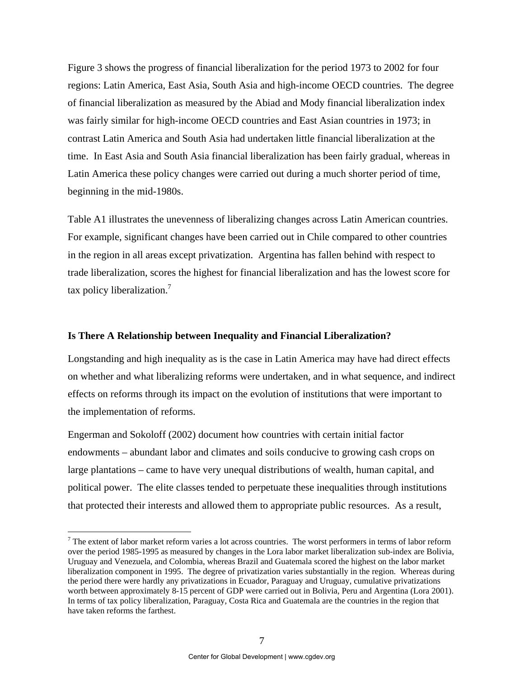Figure 3 shows the progress of financial liberalization for the period 1973 to 2002 for four regions: Latin America, East Asia, South Asia and high-income OECD countries. The degree of financial liberalization as measured by the Abiad and Mody financial liberalization index was fairly similar for high-income OECD countries and East Asian countries in 1973; in contrast Latin America and South Asia had undertaken little financial liberalization at the time. In East Asia and South Asia financial liberalization has been fairly gradual, whereas in Latin America these policy changes were carried out during a much shorter period of time, beginning in the mid-1980s.

Table A1 illustrates the unevenness of liberalizing changes across Latin American countries. For example, significant changes have been carried out in Chile compared to other countries in the region in all areas except privatization. Argentina has fallen behind with respect to trade liberalization, scores the highest for financial liberalization and has the lowest score for tax policy liberalization.<sup>7</sup>

#### **Is There A Relationship between Inequality and Financial Liberalization?**

 $\overline{a}$ 

Longstanding and high inequality as is the case in Latin America may have had direct effects on whether and what liberalizing reforms were undertaken, and in what sequence, and indirect effects on reforms through its impact on the evolution of institutions that were important to the implementation of reforms.

Engerman and Sokoloff (2002) document how countries with certain initial factor endowments – abundant labor and climates and soils conducive to growing cash crops on large plantations – came to have very unequal distributions of wealth, human capital, and political power. The elite classes tended to perpetuate these inequalities through institutions that protected their interests and allowed them to appropriate public resources. As a result,

 $<sup>7</sup>$  The extent of labor market reform varies a lot across countries. The worst performers in terms of labor reform</sup> over the period 1985-1995 as measured by changes in the Lora labor market liberalization sub-index are Bolivia, Uruguay and Venezuela, and Colombia, whereas Brazil and Guatemala scored the highest on the labor market liberalization component in 1995. The degree of privatization varies substantially in the region. Whereas during the period there were hardly any privatizations in Ecuador, Paraguay and Uruguay, cumulative privatizations worth between approximately 8-15 percent of GDP were carried out in Bolivia, Peru and Argentina (Lora 2001). In terms of tax policy liberalization, Paraguay, Costa Rica and Guatemala are the countries in the region that have taken reforms the farthest.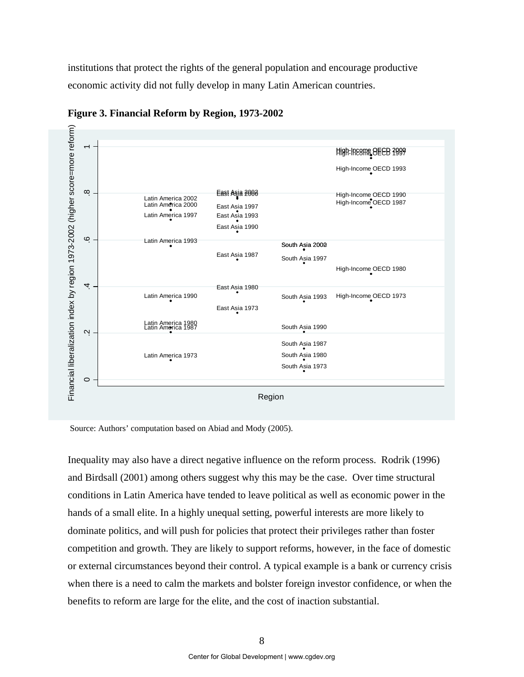institutions that protect the rights of the general population and encourage productive economic activity did not fully develop in many Latin American countries.



**Figure 3. Financial Reform by Region, 1973-2002** 

Source: Authors' computation based on Abiad and Mody (2005).

Inequality may also have a direct negative influence on the reform process. Rodrik (1996) and Birdsall (2001) among others suggest why this may be the case. Over time structural conditions in Latin America have tended to leave political as well as economic power in the hands of a small elite. In a highly unequal setting, powerful interests are more likely to dominate politics, and will push for policies that protect their privileges rather than foster competition and growth. They are likely to support reforms, however, in the face of domestic or external circumstances beyond their control. A typical example is a bank or currency crisis when there is a need to calm the markets and bolster foreign investor confidence, or when the benefits to reform are large for the elite, and the cost of inaction substantial.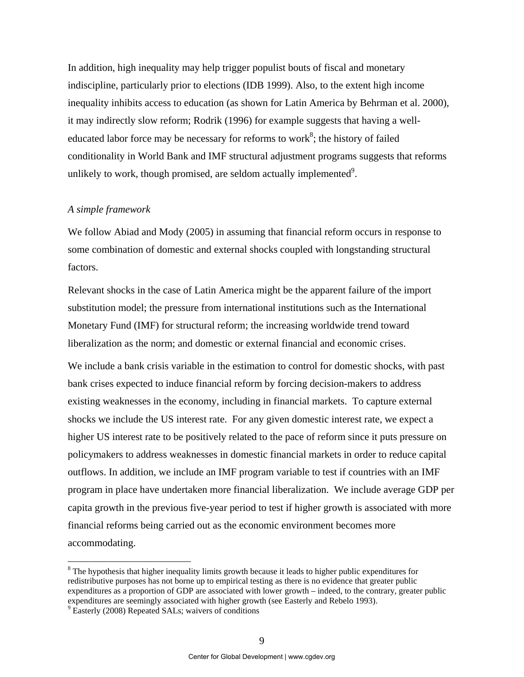In addition, high inequality may help trigger populist bouts of fiscal and monetary indiscipline, particularly prior to elections (IDB 1999). Also, to the extent high income inequality inhibits access to education (as shown for Latin America by Behrman et al. 2000), it may indirectly slow reform; Rodrik (1996) for example suggests that having a welleducated labor force may be necessary for reforms to work<sup>8</sup>; the history of failed conditionality in World Bank and IMF structural adjustment programs suggests that reforms unlikely to work, though promised, are seldom actually implemented $\delta$ .

#### *A simple framework*

We follow Abiad and Mody (2005) in assuming that financial reform occurs in response to some combination of domestic and external shocks coupled with longstanding structural factors.

Relevant shocks in the case of Latin America might be the apparent failure of the import substitution model; the pressure from international institutions such as the International Monetary Fund (IMF) for structural reform; the increasing worldwide trend toward liberalization as the norm; and domestic or external financial and economic crises.

We include a bank crisis variable in the estimation to control for domestic shocks, with past bank crises expected to induce financial reform by forcing decision-makers to address existing weaknesses in the economy, including in financial markets. To capture external shocks we include the US interest rate. For any given domestic interest rate, we expect a higher US interest rate to be positively related to the pace of reform since it puts pressure on policymakers to address weaknesses in domestic financial markets in order to reduce capital outflows. In addition, we include an IMF program variable to test if countries with an IMF program in place have undertaken more financial liberalization. We include average GDP per capita growth in the previous five-year period to test if higher growth is associated with more financial reforms being carried out as the economic environment becomes more accommodating.

<sup>&</sup>lt;sup>8</sup> The hypothesis that higher inequality limits growth because it leads to higher public expenditures for redistributive purposes has not borne up to empirical testing as there is no evidence that greater public expenditures as a proportion of GDP are associated with lower growth – indeed, to the contrary, greater public expenditures are seemingly associated with higher growth (see Easterly and Rebelo 1993).

 $<sup>9</sup>$  Easterly (2008) Repeated SALs; waivers of conditions</sup>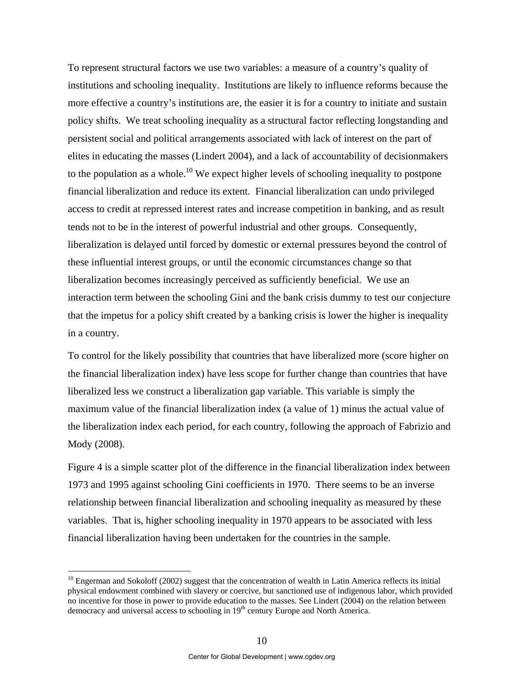To represent structural factors we use two variables: a measure of a country's quality of institutions and schooling inequality. Institutions are likely to influence reforms because the more effective a country's institutions are, the easier it is for a country to initiate and sustain policy shifts. We treat schooling inequality as a structural factor reflecting longstanding and persistent social and political arrangements associated with lack of interest on the part of elites in educating the masses (Lindert 2004), and a lack of accountability of decisionmakers to the population as a whole.<sup>10</sup> We expect higher levels of schooling inequality to postpone financial liberalization and reduce its extent. Financial liberalization can undo privileged access to credit at repressed interest rates and increase competition in banking, and as result tends not to be in the interest of powerful industrial and other groups. Consequently, liberalization is delayed until forced by domestic or external pressures beyond the control of these influential interest groups, or until the economic circumstances change so that liberalization becomes increasingly perceived as sufficiently beneficial. We use an interaction term between the schooling Gini and the bank crisis dummy to test our conjecture that the impetus for a policy shift created by a banking crisis is lower the higher is inequality in a country.

To control for the likely possibility that countries that have liberalized more (score higher on the financial liberalization index) have less scope for further change than countries that have liberalized less we construct a liberalization gap variable. This variable is simply the maximum value of the financial liberalization index (a value of 1) minus the actual value of the liberalization index each period, for each country, following the approach of Fabrizio and Mody (2008).

Figure 4 is a simple scatter plot of the difference in the financial liberalization index between 1973 and 1995 against schooling Gini coefficients in 1970. There seems to be an inverse relationship between financial liberalization and schooling inequality as measured by these variables. That is, higher schooling inequality in 1970 appears to be associated with less financial liberalization having been undertaken for the countries in the sample.

 $10$  Engerman and Sokoloff (2002) suggest that the concentration of wealth in Latin America reflects its initial physical endowment combined with slavery or coercive, but sanctioned use of indigenous labor, which provided no incentive for those in power to provide education to the masses. See Lindert (2004) on the relation between democracy and universal access to schooling in 19<sup>th</sup> century Europe and North America.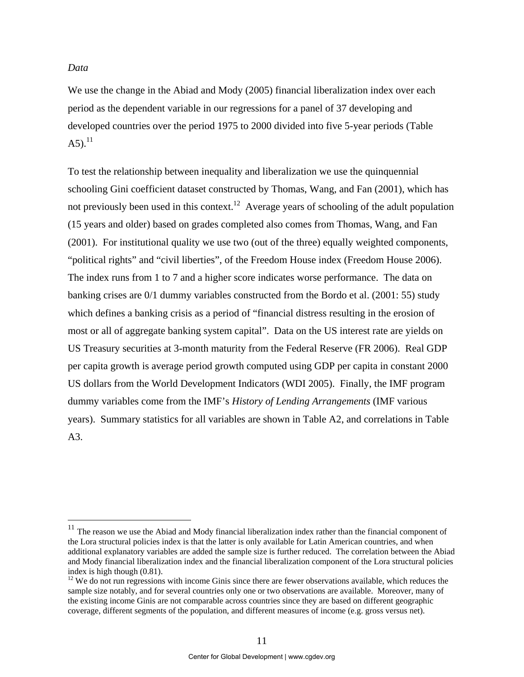#### *Data*

 $\overline{a}$ 

We use the change in the Abiad and Mody (2005) financial liberalization index over each period as the dependent variable in our regressions for a panel of 37 developing and developed countries over the period 1975 to 2000 divided into five 5-year periods (Table  $(A5).^{11}$ 

To test the relationship between inequality and liberalization we use the quinquennial schooling Gini coefficient dataset constructed by Thomas, Wang, and Fan (2001), which has not previously been used in this context.<sup>12</sup> Average years of schooling of the adult population (15 years and older) based on grades completed also comes from Thomas, Wang, and Fan (2001). For institutional quality we use two (out of the three) equally weighted components, "political rights" and "civil liberties", of the Freedom House index (Freedom House 2006). The index runs from 1 to 7 and a higher score indicates worse performance. The data on banking crises are 0/1 dummy variables constructed from the Bordo et al. (2001: 55) study which defines a banking crisis as a period of "financial distress resulting in the erosion of most or all of aggregate banking system capital". Data on the US interest rate are yields on US Treasury securities at 3-month maturity from the Federal Reserve (FR 2006). Real GDP per capita growth is average period growth computed using GDP per capita in constant 2000 US dollars from the World Development Indicators (WDI 2005). Finally, the IMF program dummy variables come from the IMF's *History of Lending Arrangements* (IMF various years). Summary statistics for all variables are shown in Table A2, and correlations in Table A3.

 $11$  The reason we use the Abiad and Mody financial liberalization index rather than the financial component of the Lora structural policies index is that the latter is only available for Latin American countries, and when additional explanatory variables are added the sample size is further reduced. The correlation between the Abiad and Mody financial liberalization index and the financial liberalization component of the Lora structural policies index is high though (0.81).

 $12$  We do not run regressions with income Ginis since there are fewer observations available, which reduces the sample size notably, and for several countries only one or two observations are available. Moreover, many of the existing income Ginis are not comparable across countries since they are based on different geographic coverage, different segments of the population, and different measures of income (e.g. gross versus net).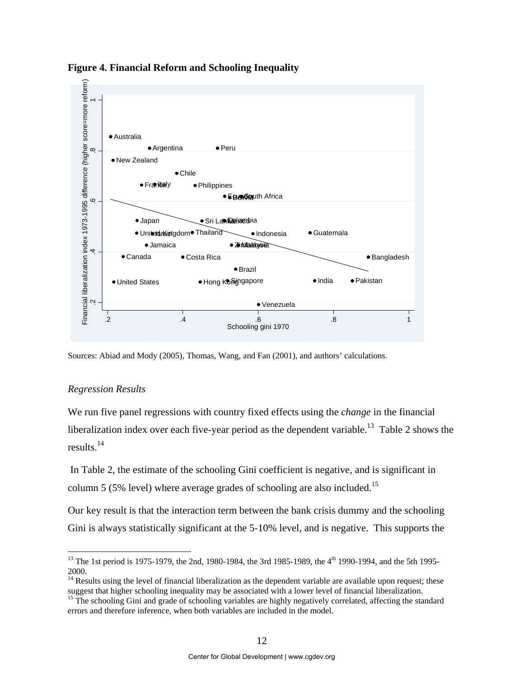

**Figure 4. Financial Reform and Schooling Inequality** 

Sources: Abiad and Mody (2005), Thomas, Wang, and Fan (2001), and authors' calculations.

#### *Regression Results*

 $\overline{a}$ 

We run five panel regressions with country fixed effects using the *change* in the financial liberalization index over each five-year period as the dependent variable.<sup>13</sup> Table 2 shows the results.14

 In Table 2, the estimate of the schooling Gini coefficient is negative, and is significant in column 5 (5% level) where average grades of schooling are also included.<sup>15</sup>

Our key result is that the interaction term between the bank crisis dummy and the schooling Gini is always statistically significant at the 5-10% level, and is negative. This supports the

 $14$  Results using the level of financial liberalization as the dependent variable are available upon request; these suggest that higher schooling inequality may be associated with a lower level of financial liberalization.

<sup>&</sup>lt;sup>13</sup> The 1st period is 1975-1979, the 2nd, 1980-1984, the 3rd 1985-1989, the 4<sup>th</sup> 1990-1994, and the 5th 1995-2000.

<sup>&</sup>lt;sup>15</sup> The schooling Gini and grade of schooling variables are highly negatively correlated, affecting the standard errors and therefore inference, when both variables are included in the model.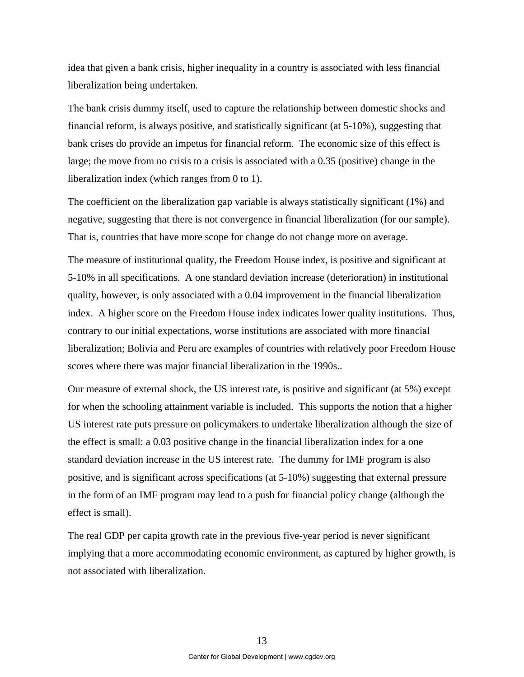idea that given a bank crisis, higher inequality in a country is associated with less financial liberalization being undertaken.

The bank crisis dummy itself, used to capture the relationship between domestic shocks and financial reform, is always positive, and statistically significant (at 5-10%), suggesting that bank crises do provide an impetus for financial reform. The economic size of this effect is large; the move from no crisis to a crisis is associated with a 0.35 (positive) change in the liberalization index (which ranges from 0 to 1).

The coefficient on the liberalization gap variable is always statistically significant (1%) and negative, suggesting that there is not convergence in financial liberalization (for our sample). That is, countries that have more scope for change do not change more on average.

The measure of institutional quality, the Freedom House index, is positive and significant at 5-10% in all specifications. A one standard deviation increase (deterioration) in institutional quality, however, is only associated with a 0.04 improvement in the financial liberalization index. A higher score on the Freedom House index indicates lower quality institutions. Thus, contrary to our initial expectations, worse institutions are associated with more financial liberalization; Bolivia and Peru are examples of countries with relatively poor Freedom House scores where there was major financial liberalization in the 1990s..

Our measure of external shock, the US interest rate, is positive and significant (at 5%) except for when the schooling attainment variable is included. This supports the notion that a higher US interest rate puts pressure on policymakers to undertake liberalization although the size of the effect is small: a 0.03 positive change in the financial liberalization index for a one standard deviation increase in the US interest rate. The dummy for IMF program is also positive, and is significant across specifications (at 5-10%) suggesting that external pressure in the form of an IMF program may lead to a push for financial policy change (although the effect is small).

The real GDP per capita growth rate in the previous five-year period is never significant implying that a more accommodating economic environment, as captured by higher growth, is not associated with liberalization.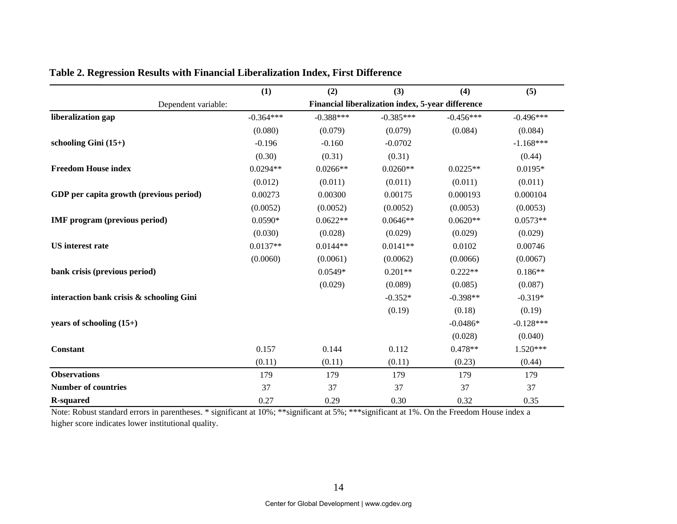|                                          | (1)         | (2)         | (3)                                               | (4)         | (5)         |  |  |
|------------------------------------------|-------------|-------------|---------------------------------------------------|-------------|-------------|--|--|
| Dependent variable:                      |             |             | Financial liberalization index, 5-year difference |             |             |  |  |
| liberalization gap                       | $-0.364***$ | $-0.388***$ | $-0.385***$                                       | $-0.456***$ | $-0.496***$ |  |  |
|                                          | (0.080)     | (0.079)     | (0.079)                                           | (0.084)     | (0.084)     |  |  |
| schooling Gini $(15+)$                   | $-0.196$    | $-0.160$    | $-0.0702$                                         |             | $-1.168***$ |  |  |
|                                          | (0.30)      | (0.31)      | (0.31)                                            |             | (0.44)      |  |  |
| <b>Freedom House index</b>               | $0.0294**$  | $0.0266**$  | $0.0260**$                                        | $0.0225**$  | $0.0195*$   |  |  |
|                                          | (0.012)     | (0.011)     | (0.011)                                           | (0.011)     | (0.011)     |  |  |
| GDP per capita growth (previous period)  | 0.00273     | 0.00300     | 0.00175                                           | 0.000193    | 0.000104    |  |  |
|                                          | (0.0052)    | (0.0052)    | (0.0052)                                          | (0.0053)    | (0.0053)    |  |  |
| <b>IMF</b> program (previous period)     | $0.0590*$   | $0.0622**$  | $0.0646**$                                        | $0.0620**$  | $0.0573**$  |  |  |
|                                          | (0.030)     | (0.028)     | (0.029)                                           | (0.029)     | (0.029)     |  |  |
| <b>US</b> interest rate                  | $0.0137**$  | $0.0144**$  | $0.0141**$                                        | 0.0102      | 0.00746     |  |  |
|                                          | (0.0060)    | (0.0061)    | (0.0062)                                          | (0.0066)    | (0.0067)    |  |  |
| bank crisis (previous period)            |             | $0.0549*$   | $0.201**$                                         | $0.222**$   | $0.186**$   |  |  |
|                                          |             | (0.029)     | (0.089)                                           | (0.085)     | (0.087)     |  |  |
| interaction bank crisis & schooling Gini |             |             | $-0.352*$                                         | $-0.398**$  | $-0.319*$   |  |  |
|                                          |             |             | (0.19)                                            | (0.18)      | (0.19)      |  |  |
| years of schooling $(15+)$               |             |             |                                                   | $-0.0486*$  | $-0.128***$ |  |  |
|                                          |             |             |                                                   | (0.028)     | (0.040)     |  |  |
| <b>Constant</b>                          | 0.157       | 0.144       | 0.112                                             | $0.478**$   | $1.520***$  |  |  |
|                                          | (0.11)      | (0.11)      | (0.11)                                            | (0.23)      | (0.44)      |  |  |
| <b>Observations</b>                      | 179         | 179         | 179                                               | 179         | 179         |  |  |
| <b>Number of countries</b>               | 37          | 37          | 37                                                | 37          | 37          |  |  |
| <b>R-squared</b>                         | 0.27        | 0.29        | 0.30                                              | 0.32        | 0.35        |  |  |

### **Table 2. Regression Results with Financial Liberalization Index, First Difference**

Note: Robust standard errors in parentheses. \* significant at 10%; \*\*significant at 5%; \*\*\*significant at 1%. On the Freedom House index a higher score indicates lower institutional quality.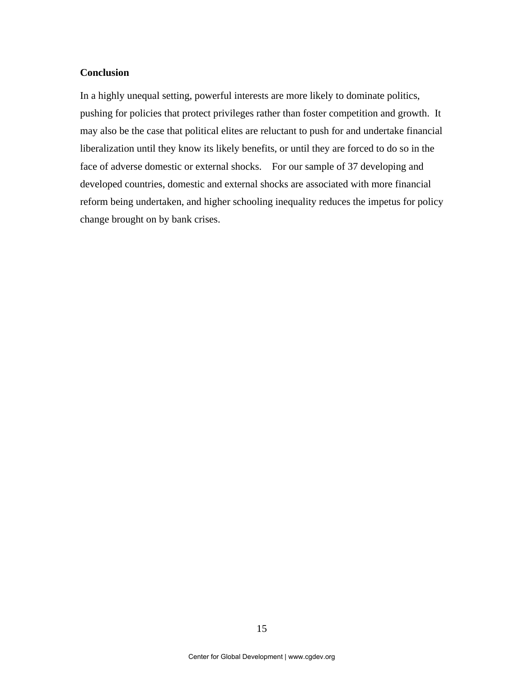#### **Conclusion**

In a highly unequal setting, powerful interests are more likely to dominate politics, pushing for policies that protect privileges rather than foster competition and growth. It may also be the case that political elites are reluctant to push for and undertake financial liberalization until they know its likely benefits, or until they are forced to do so in the face of adverse domestic or external shocks. For our sample of 37 developing and developed countries, domestic and external shocks are associated with more financial reform being undertaken, and higher schooling inequality reduces the impetus for policy change brought on by bank crises.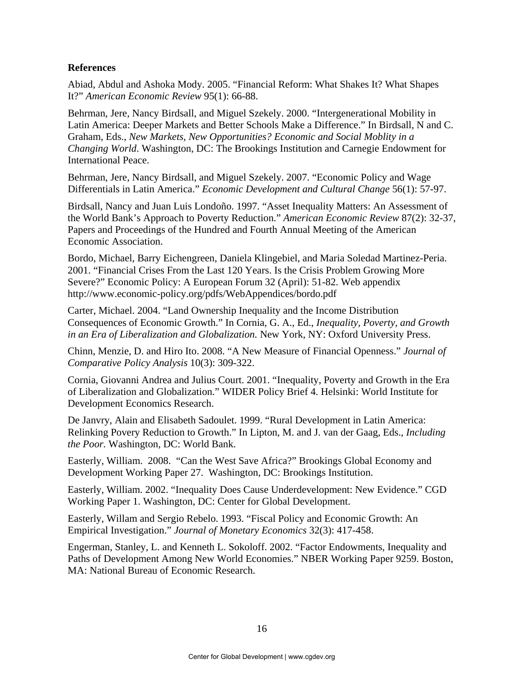#### **References**

Abiad, Abdul and Ashoka Mody. 2005. "Financial Reform: What Shakes It? What Shapes It?" *American Economic Review* 95(1): 66-88.

Behrman, Jere, Nancy Birdsall, and Miguel Szekely. 2000. "Intergenerational Mobility in Latin America: Deeper Markets and Better Schools Make a Difference." In Birdsall, N and C. Graham, Eds., *New Markets, New Opportunities? Economic and Social Moblity in a Changing World*. Washington, DC: The Brookings Institution and Carnegie Endowment for International Peace.

Behrman, Jere, Nancy Birdsall, and Miguel Szekely. 2007. "Economic Policy and Wage Differentials in Latin America." *Economic Development and Cultural Change* 56(1): 57-97.

Birdsall, Nancy and Juan Luis Londoño. 1997. "Asset Inequality Matters: An Assessment of the World Bank's Approach to Poverty Reduction." *American Economic Review* 87(2): 32-37, Papers and Proceedings of the Hundred and Fourth Annual Meeting of the American Economic Association.

Bordo, Michael, Barry Eichengreen, Daniela Klingebiel, and Maria Soledad Martinez-Peria. 2001. "Financial Crises From the Last 120 Years. Is the Crisis Problem Growing More Severe?" Economic Policy: A European Forum 32 (April): 51-82. Web appendix <http://www.economic-policy.org/pdfs/WebAppendices/bordo.pdf>

Carter, Michael. 2004. "Land Ownership Inequality and the Income Distribution Consequences of Economic Growth." In Cornia, G. A., Ed., *Inequality, Poverty, and Growth in an Era of Liberalization and Globalization.* New York, NY: Oxford University Press.

Chinn, Menzie, D. and Hiro Ito. 2008. "A New Measure of Financial Openness." *Journal of Comparative Policy Analysis* 10(3): 309-322.

Cornia, Giovanni Andrea and Julius Court. 2001. "Inequality, Poverty and Growth in the Era of Liberalization and Globalization." WIDER Policy Brief 4. Helsinki: World Institute for Development Economics Research.

De Janvry, Alain and Elisabeth Sadoulet. 1999. "Rural Development in Latin America: Relinking Povery Reduction to Growth." In Lipton, M. and J. van der Gaag, Eds., *Including the Poor.* Washington, DC: World Bank.

Easterly, William. 2008. "Can the West Save Africa?" Brookings Global Economy and Development Working Paper 27. Washington, DC: Brookings Institution.

Easterly, William. 2002. "Inequality Does Cause Underdevelopment: New Evidence." CGD Working Paper 1. Washington, DC: Center for Global Development.

Easterly, Willam and Sergio Rebelo. 1993. "Fiscal Policy and Economic Growth: An Empirical Investigation." *Journal of Monetary Economics* 32(3): 417-458.

Engerman, Stanley, L. and Kenneth L. Sokoloff. 2002. "Factor Endowments, Inequality and Paths of Development Among New World Economies." NBER Working Paper 9259. Boston, MA: National Bureau of Economic Research.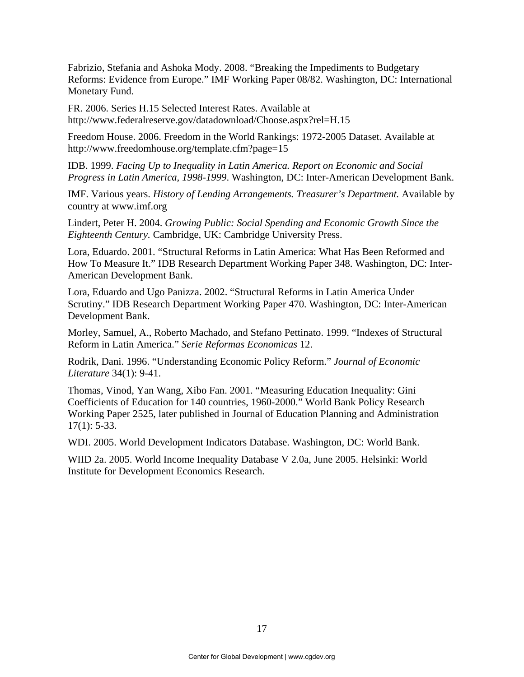Fabrizio, Stefania and Ashoka Mody. 2008. "Breaking the Impediments to Budgetary Reforms: Evidence from Europe." IMF Working Paper 08/82. Washington, DC: International Monetary Fund.

FR. 2006. Series H.15 Selected Interest Rates. Available at <http://www.federalreserve.gov/datadownload/Choose.aspx?rel=H.15>

Freedom House. 2006. Freedom in the World Rankings: 1972-2005 Dataset. Available at <http://www.freedomhouse.org/template.cfm?page=15>

IDB. 1999. *Facing Up to Inequality in Latin America. Report on Economic and Social Progress in Latin America, 1998-1999*. Washington, DC: Inter-American Development Bank.

IMF. Various years. *History of Lending Arrangements. Treasurer's Department.* Available by country at [www.imf.org](http://www.imf.org) 

Lindert, Peter H. 2004. *Growing Public: Social Spending and Economic Growth Since the Eighteenth Century.* Cambridge, UK: Cambridge University Press.

Lora, Eduardo. 2001. "Structural Reforms in Latin America: What Has Been Reformed and How To Measure It." IDB Research Department Working Paper 348. Washington, DC: Inter-American Development Bank.

Lora, Eduardo and Ugo Panizza. 2002. "Structural Reforms in Latin America Under Scrutiny." IDB Research Department Working Paper 470. Washington, DC: Inter-American Development Bank.

Morley, Samuel, A., Roberto Machado, and Stefano Pettinato. 1999. "Indexes of Structural Reform in Latin America." *Serie Reformas Economicas* 12.

Rodrik, Dani. 1996. "Understanding Economic Policy Reform." *Journal of Economic Literature* 34(1): 9-41.

Thomas, Vinod, Yan Wang, Xibo Fan. 2001. "Measuring Education Inequality: Gini Coefficients of Education for 140 countries, 1960-2000." World Bank Policy Research Working Paper 2525, later published in Journal of Education Planning and Administration  $17(1): 5-33.$ 

WDI. 2005. World Development Indicators Database. Washington, DC: World Bank.

WIID 2a. 2005. World Income Inequality Database V 2.0a, June 2005. Helsinki: World Institute for Development Economics Research.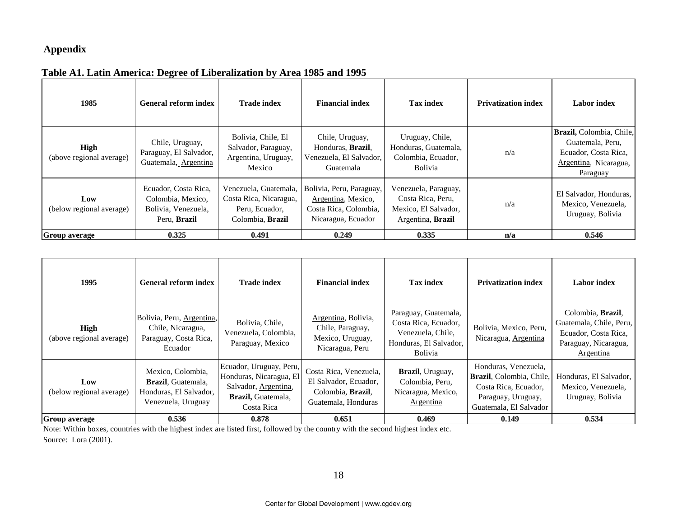### **Appendix**

# **Table A1. Latin America: Degree of Liberalization by Area 1985 and 1995**

| 1985                             | <b>General reform index</b>                                                      | <b>Trade index</b>                                                                    | <b>Financial index</b>                                                                        | <b>Tax index</b>                                                                       | <b>Privatization index</b> | <b>Labor index</b>                                                                                        |
|----------------------------------|----------------------------------------------------------------------------------|---------------------------------------------------------------------------------------|-----------------------------------------------------------------------------------------------|----------------------------------------------------------------------------------------|----------------------------|-----------------------------------------------------------------------------------------------------------|
| High<br>(above regional average) | Chile, Uruguay,<br>Paraguay, El Salvador,<br>Guatemala, Argentina                | Bolivia, Chile, El<br>Salvador, Paraguay,<br>Argentina, Uruguay,<br>Mexico            | Chile, Uruguay,<br>Honduras, Brazil,<br>Venezuela, El Salvador,<br>Guatemala                  | Uruguay, Chile,<br>Honduras, Guatemala,<br>Colombia, Ecuador,<br><b>Bolivia</b>        | n/a                        | Brazil, Colombia, Chile,<br>Guatemala, Peru,<br>Ecuador, Costa Rica,<br>Argentina, Nicaragua,<br>Paraguay |
| Low<br>(below regional average)  | Ecuador, Costa Rica,<br>Colombia, Mexico,<br>Bolivia, Venezuela,<br>Peru, Brazil | Venezuela, Guatemala,<br>Costa Rica, Nicaragua,<br>Peru, Ecuador,<br>Colombia, Brazil | Bolivia, Peru, Paraguay,<br>Argentina, Mexico,<br>Costa Rica, Colombia,<br>Nicaragua, Ecuador | Venezuela, Paraguay,<br>Costa Rica, Peru,<br>Mexico, El Salvador,<br>Argentina, Brazil | n/a                        | El Salvador, Honduras,<br>Mexico, Venezuela,<br>Uruguay, Bolivia                                          |
| <b>Group average</b>             | 0.325                                                                            | 0.491                                                                                 | 0.249                                                                                         | 0.335                                                                                  | n/a                        | 0.546                                                                                                     |

| 1995                             | <b>General reform index</b>                                                             | <b>Trade index</b>                                                                                             | <b>Financial index</b>                                                                      | <b>Tax index</b>                                                                                              | <b>Privatization index</b>                                                                                               | <b>Labor</b> index                                                                                        |
|----------------------------------|-----------------------------------------------------------------------------------------|----------------------------------------------------------------------------------------------------------------|---------------------------------------------------------------------------------------------|---------------------------------------------------------------------------------------------------------------|--------------------------------------------------------------------------------------------------------------------------|-----------------------------------------------------------------------------------------------------------|
| High<br>(above regional average) | Bolivia, Peru, Argentina,<br>Chile, Nicaragua,<br>Paraguay, Costa Rica,<br>Ecuador      | Bolivia, Chile,<br>Venezuela, Colombia,<br>Paraguay, Mexico                                                    | Argentina, Bolivia,<br>Chile, Paraguay,<br>Mexico, Uruguay,<br>Nicaragua, Peru              | Paraguay, Guatemala,<br>Costa Rica, Ecuador,<br>Venezuela, Chile,<br>Honduras, El Salvador,<br><b>Bolivia</b> | Bolivia, Mexico, Peru,<br>Nicaragua, Argentina                                                                           | Colombia, Brazil,<br>Guatemala, Chile, Peru,<br>Ecuador, Costa Rica,<br>Paraguay, Nicaragua,<br>Argentina |
| Low<br>(below regional average)  | Mexico, Colombia,<br>Brazil, Guatemala,<br>Honduras, El Salvador,<br>Venezuela, Uruguay | Ecuador, Uruguay, Peru,<br>Honduras, Nicaragua, El<br>Salvador, Argentina,<br>Brazil, Guatemala,<br>Costa Rica | Costa Rica, Venezuela,<br>El Salvador, Ecuador,<br>Colombia, Brazil,<br>Guatemala, Honduras | Brazil, Uruguay,<br>Colombia, Peru,<br>Nicaragua, Mexico,<br>Argentina                                        | Honduras, Venezuela,<br>Brazil, Colombia, Chile,<br>Costa Rica, Ecuador,<br>Paraguay, Uruguay,<br>Guatemala, El Salvador | Honduras, El Salvador,<br>Mexico, Venezuela,<br>Uruguay, Bolivia                                          |
| <b>Group average</b>             | 0.536                                                                                   | 0.878                                                                                                          | 0.651                                                                                       | 0.469                                                                                                         | 0.149                                                                                                                    | 0.534                                                                                                     |

Note: Within boxes, countries with the highest index are listed first, followed by the country with the second highest index etc.

Source: Lora (2001).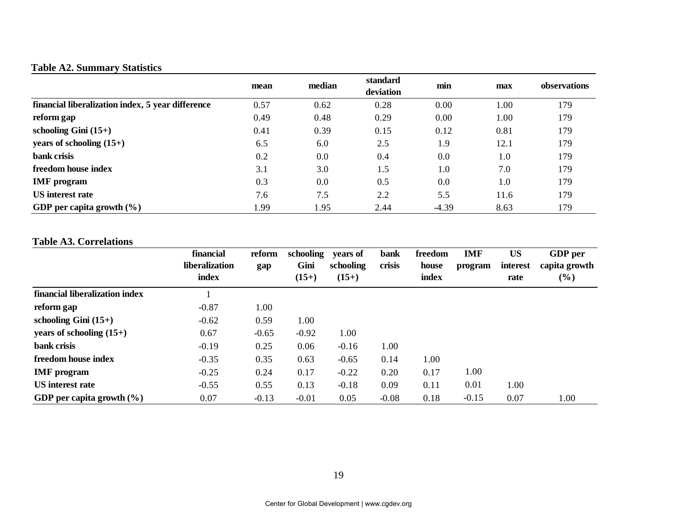### **Table A2. Summary Statistics**

|                                                   | mean | median | standard<br>deviation | min     | max  | observations |
|---------------------------------------------------|------|--------|-----------------------|---------|------|--------------|
| financial liberalization index, 5 year difference | 0.57 | 0.62   | 0.28                  | 0.00    | 1.00 | 179          |
| reform gap                                        | 0.49 | 0.48   | 0.29                  | 0.00    | 1.00 | 179          |
| schooling Gini $(15+)$                            | 0.41 | 0.39   | 0.15                  | 0.12    | 0.81 | 179          |
| years of schooling $(15+)$                        | 6.5  | 6.0    | 2.5                   | 1.9     | 12.1 | 179          |
| bank crisis                                       | 0.2  | 0.0    | 0.4                   | 0.0     | 1.0  | 179          |
| freedom house index                               | 3.1  | 3.0    | 1.5                   | 1.0     | 7.0  | 179          |
| <b>IMF</b> program                                | 0.3  | 0.0    | 0.5                   | 0.0     | 1.0  | 179          |
| <b>US</b> interest rate                           | 7.6  | 7.5    | 2.2                   | 5.5     | 11.6 | 179          |
| GDP per capita growth $(\% )$                     | 1.99 | 1.95   | 2.44                  | $-4.39$ | 8.63 | 179          |

#### **Table A3. Correlations**

|                                | financial               | reform  | schooling       | years of             | bank    | freedom        | <b>IMF</b> | <b>US</b>        | GDP per                 |
|--------------------------------|-------------------------|---------|-----------------|----------------------|---------|----------------|------------|------------------|-------------------------|
|                                | liberalization<br>index | gap     | Gini<br>$(15+)$ | schooling<br>$(15+)$ | crisis  | house<br>index | program    | interest<br>rate | capita growth<br>$(\%)$ |
| financial liberalization index |                         |         |                 |                      |         |                |            |                  |                         |
| reform gap                     | $-0.87$                 | 1.00    |                 |                      |         |                |            |                  |                         |
| schooling Gini $(15+)$         | $-0.62$                 | 0.59    | 1.00            |                      |         |                |            |                  |                         |
| years of schooling $(15+)$     | 0.67                    | $-0.65$ | $-0.92$         | 1.00                 |         |                |            |                  |                         |
| bank crisis                    | $-0.19$                 | 0.25    | 0.06            | $-0.16$              | 1.00    |                |            |                  |                         |
| freedom house index            | $-0.35$                 | 0.35    | 0.63            | $-0.65$              | 0.14    | 1.00           |            |                  |                         |
| <b>IMF</b> program             | $-0.25$                 | 0.24    | 0.17            | $-0.22$              | 0.20    | 0.17           | 1.00       |                  |                         |
| US interest rate               | $-0.55$                 | 0.55    | 0.13            | $-0.18$              | 0.09    | 0.11           | 0.01       | 1.00             |                         |
| GDP per capita growth $(\% )$  | 0.07                    | $-0.13$ | $-0.01$         | 0.05                 | $-0.08$ | 0.18           | $-0.15$    | 0.07             | 1.00                    |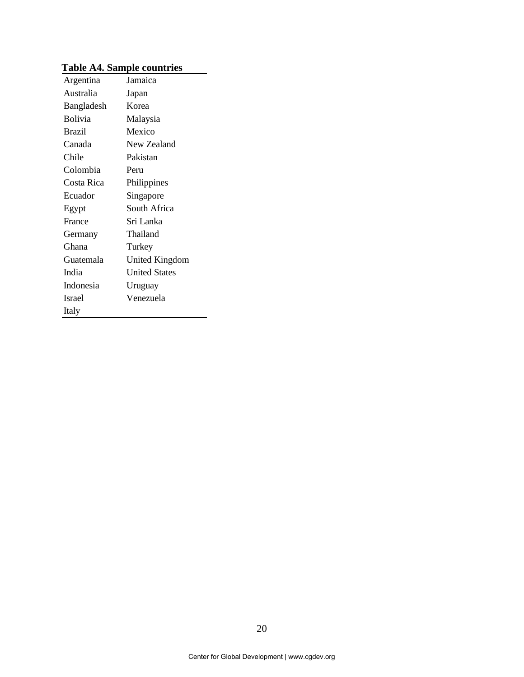## **Table A4. Sample countries**

| ruore 11 ii bumpre countries |                      |
|------------------------------|----------------------|
| Argentina                    | Jamaica              |
| Australia                    | Japan                |
| Bangladesh                   | Korea                |
| <b>Bolivia</b>               | Malaysia             |
| <b>Brazil</b>                | Mexico               |
| Canada                       | New Zealand          |
| Chile                        | Pakistan             |
| Colombia                     | Peru                 |
| Costa Rica                   | Philippines          |
| Ecuador                      | Singapore            |
| Egypt                        | South Africa         |
| France                       | Sri Lanka            |
| Germany                      | Thailand             |
| Ghana                        | Turkey               |
| Guatemala                    | United Kingdom       |
| India                        | <b>United States</b> |
| Indonesia                    | Uruguay              |
| Israel                       | Venezuela            |
| Italy                        |                      |